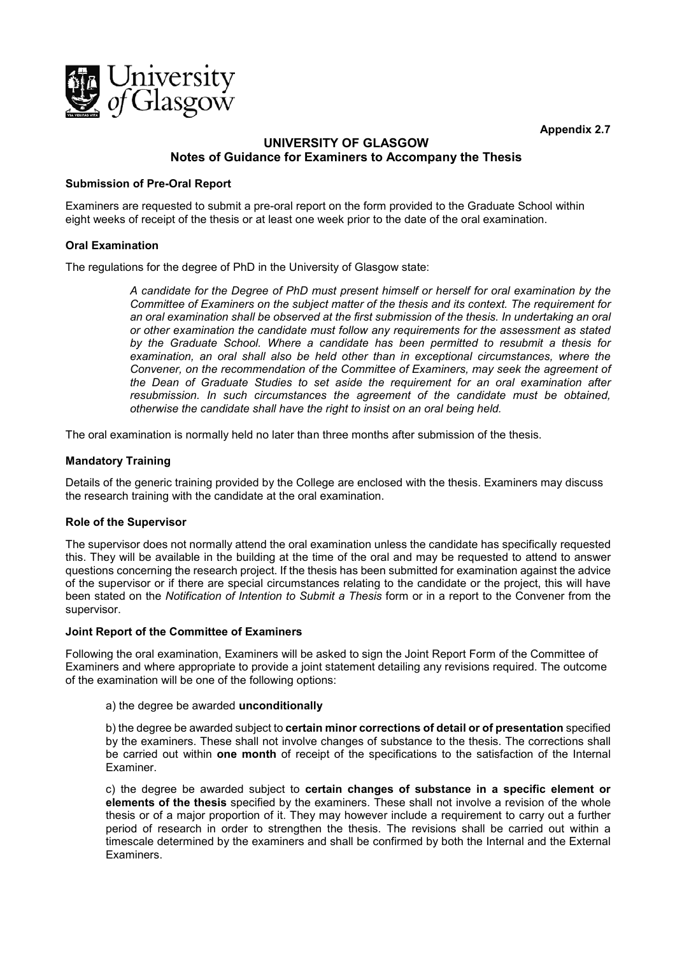**Appendix 2.7**



# **UNIVERSITY OF GLASGOW Notes of Guidance for Examiners to Accompany the Thesis**

## **Submission of Pre-Oral Report**

Examiners are requested to submit a pre-oral report on the form provided to the Graduate School within eight weeks of receipt of the thesis or at least one week prior to the date of the oral examination.

## **Oral Examination**

The regulations for the degree of PhD in the University of Glasgow state:

*A candidate for the Degree of PhD must present himself or herself for oral examination by the Committee of Examiners on the subject matter of the thesis and its context. The requirement for an oral examination shall be observed at the first submission of the thesis. In undertaking an oral or other examination the candidate must follow any requirements for the assessment as stated by the Graduate School. Where a candidate has been permitted to resubmit a thesis for examination, an oral shall also be held other than in exceptional circumstances, where the Convener, on the recommendation of the Committee of Examiners, may seek the agreement of the Dean of Graduate Studies to set aside the requirement for an oral examination after resubmission. In such circumstances the agreement of the candidate must be obtained, otherwise the candidate shall have the right to insist on an oral being held.*

The oral examination is normally held no later than three months after submission of the thesis.

## **Mandatory Training**

Details of the generic training provided by the College are enclosed with the thesis. Examiners may discuss the research training with the candidate at the oral examination.

## **Role of the Supervisor**

The supervisor does not normally attend the oral examination unless the candidate has specifically requested this. They will be available in the building at the time of the oral and may be requested to attend to answer questions concerning the research project. If the thesis has been submitted for examination against the advice of the supervisor or if there are special circumstances relating to the candidate or the project, this will have been stated on the *Notification of Intention to Submit a Thesis* form or in a report to the Convener from the supervisor.

## **Joint Report of the Committee of Examiners**

Following the oral examination, Examiners will be asked to sign the Joint Report Form of the Committee of Examiners and where appropriate to provide a joint statement detailing any revisions required. The outcome of the examination will be one of the following options:

## a) the degree be awarded **unconditionally**

b) the degree be awarded subject to **certain minor corrections of detail or of presentation** specified by the examiners. These shall not involve changes of substance to the thesis. The corrections shall be carried out within **one month** of receipt of the specifications to the satisfaction of the Internal Examiner.

c) the degree be awarded subject to **certain changes of substance in a specific element or elements of the thesis** specified by the examiners. These shall not involve a revision of the whole thesis or of a major proportion of it. They may however include a requirement to carry out a further period of research in order to strengthen the thesis. The revisions shall be carried out within a timescale determined by the examiners and shall be confirmed by both the Internal and the External Examiners.